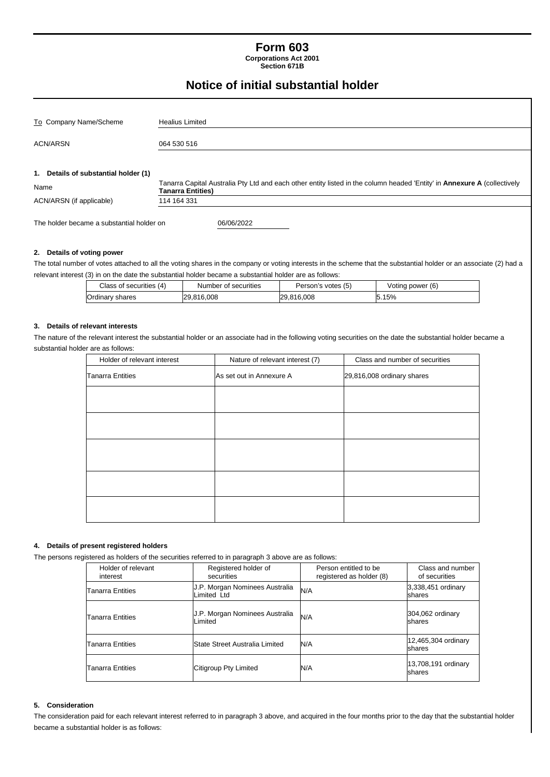# **Form 603**

**Corporations Act 2001 Section 671B**

# **Notice of initial substantial holder**

| To Company Name/Scheme                                                                                                                                             |                                      | <b>Healius Limited</b>                                                                                                                        |                      |                    |                  |  |  |
|--------------------------------------------------------------------------------------------------------------------------------------------------------------------|--------------------------------------|-----------------------------------------------------------------------------------------------------------------------------------------------|----------------------|--------------------|------------------|--|--|
|                                                                                                                                                                    |                                      |                                                                                                                                               |                      |                    |                  |  |  |
| ACN/ARSN                                                                                                                                                           |                                      | 064 530 516                                                                                                                                   |                      |                    |                  |  |  |
|                                                                                                                                                                    |                                      |                                                                                                                                               |                      |                    |                  |  |  |
|                                                                                                                                                                    | 1. Details of substantial holder (1) |                                                                                                                                               |                      |                    |                  |  |  |
| Name                                                                                                                                                               |                                      | Tanarra Capital Australia Pty Ltd and each other entity listed in the column headed 'Entity' in Annexure A (collectively<br>Tanarra Entities) |                      |                    |                  |  |  |
| ACN/ARSN (if applicable)                                                                                                                                           |                                      | 114 164 331                                                                                                                                   |                      |                    |                  |  |  |
| The holder became a substantial holder on                                                                                                                          |                                      |                                                                                                                                               | 06/06/2022           |                    |                  |  |  |
| 2. Details of voting power                                                                                                                                         |                                      |                                                                                                                                               |                      |                    |                  |  |  |
| The total number of votes attached to all the voting shares in the company or voting interests in the scheme that the substantial holder or an associate (2) had a |                                      |                                                                                                                                               |                      |                    |                  |  |  |
| relevant interest (3) in on the date the substantial holder became a substantial holder are as follows:                                                            |                                      |                                                                                                                                               |                      |                    |                  |  |  |
|                                                                                                                                                                    | Class of securities (4)              |                                                                                                                                               | Number of securities | Person's votes (5) | Voting power (6) |  |  |
|                                                                                                                                                                    | Ordinary shares                      |                                                                                                                                               | 29,816,008           | 29,816,008         | 5.15%            |  |  |
|                                                                                                                                                                    |                                      |                                                                                                                                               |                      |                    |                  |  |  |

## **3. Details of relevant interests**

The nature of the relevant interest the substantial holder or an associate had in the following voting securities on the date the substantial holder became a substantial holder are as follows:

| Holder of relevant interest | Nature of relevant interest (7) | Class and number of securities |  |
|-----------------------------|---------------------------------|--------------------------------|--|
| <b>Tanarra Entities</b>     | As set out in Annexure A        | 29,816,008 ordinary shares     |  |
|                             |                                 |                                |  |
|                             |                                 |                                |  |
|                             |                                 |                                |  |
|                             |                                 |                                |  |
|                             |                                 |                                |  |

## **4. Details of present registered holders**

The persons registered as holders of the securities referred to in paragraph 3 above are as follows:

| Holder of relevant<br>interest | Registered holder of<br>securities            |     | Class and number<br>of securities |
|--------------------------------|-----------------------------------------------|-----|-----------------------------------|
| <b>Tanarra Entities</b>        | J.P. Morgan Nominees Australia<br>Limited Ltd | N/A | 3,338,451 ordinary<br>shares      |
| <b>Tanarra Entities</b>        | J.P. Morgan Nominees Australia<br>Limited     | N/A | 304,062 ordinary<br>shares        |
| Tanarra Entities               | State Street Australia Limited                | N/A | 12,465,304 ordinary<br>shares     |
| <b>Tanarra Entities</b>        | Citigroup Pty Limited                         | N/A | 13,708,191 ordinary<br>shares     |

# **5. Consideration**

The consideration paid for each relevant interest referred to in paragraph 3 above, and acquired in the four months prior to the day that the substantial holder became a substantial holder is as follows: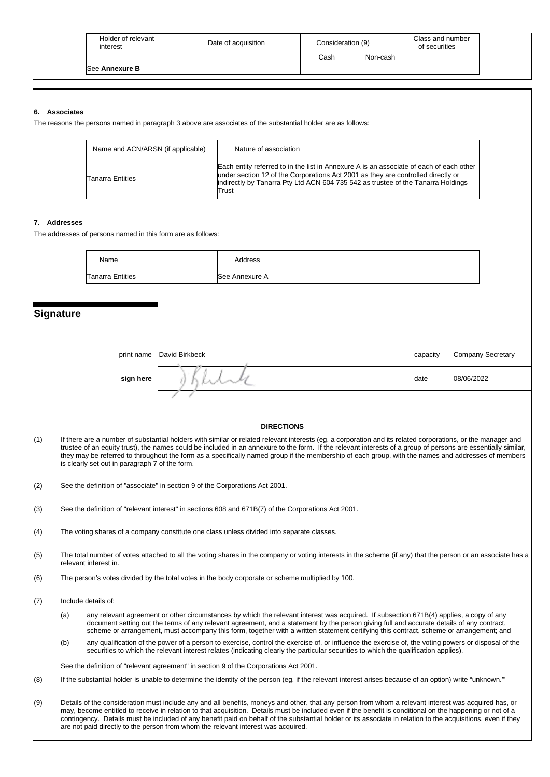| Holder of relevant<br>interest | Date of acquisition | Consideration (9) |          | Class and number<br>of securities |
|--------------------------------|---------------------|-------------------|----------|-----------------------------------|
|                                |                     | Cash              | Non-cash |                                   |
| <b>See Annexure B</b>          |                     |                   |          |                                   |
|                                |                     |                   |          |                                   |

## **6. Associates**

The reasons the persons named in paragraph 3 above are associates of the substantial holder are as follows:

| Name and ACN/ARSN (if applicable) | Nature of association                                                                                                                                                                                                                                                    |  |  |
|-----------------------------------|--------------------------------------------------------------------------------------------------------------------------------------------------------------------------------------------------------------------------------------------------------------------------|--|--|
| <b>Tanarra Entities</b>           | Each entity referred to in the list in Annexure A is an associate of each of each other<br>under section 12 of the Corporations Act 2001 as they are controlled directly or<br>indirectly by Tanarra Pty Ltd ACN 604 735 542 as trustee of the Tanarra Holdings<br>Trust |  |  |

# **7. Addresses**

The addresses of persons named in this form are as follows:

| Name             | Address        |
|------------------|----------------|
| Tanarra Entities | See Annexure A |

# **Signature**

|           | print name David Birkbeck | capacity | <b>Company Secretary</b> |
|-----------|---------------------------|----------|--------------------------|
| sign here |                           | date     | 08/06/2022               |
|           |                           |          |                          |

#### **DIRECTIONS**

- (1) If there are a number of substantial holders with similar or related relevant interests (eg. a corporation and its related corporations, or the manager and trustee of an equity trust), the names could be included in an annexure to the form. If the relevant interests of a group of persons are essentially similar, they may be referred to throughout the form as a specifically named group if the membership of each group, with the names and addresses of members is clearly set out in paragraph 7 of the form.
- (2) See the definition of "associate" in section 9 of the Corporations Act 2001.
- (3) See the definition of "relevant interest" in sections 608 and 671B(7) of the Corporations Act 2001.
- (4) The voting shares of a company constitute one class unless divided into separate classes.
- (5) The total number of votes attached to all the voting shares in the company or voting interests in the scheme (if any) that the person or an associate has a relevant interest in.
- (6) The person's votes divided by the total votes in the body corporate or scheme multiplied by 100.
- (7) Include details of:
	- (a) any relevant agreement or other circumstances by which the relevant interest was acquired. If subsection 671B(4) applies, a copy of any document setting out the terms of any relevant agreement, and a statement by the person giving full and accurate details of any contract, scheme or arrangement, must accompany this form, together with a written statement certifying this contract, scheme or arrangement; and
	- (b) any qualification of the power of a person to exercise, control the exercise of, or influence the exercise of, the voting powers or disposal of the securities to which the relevant interest relates (indicating clearly the particular securities to which the qualification applies).

See the definition of "relevant agreement" in section 9 of the Corporations Act 2001.

- (8) If the substantial holder is unable to determine the identity of the person (eg. if the relevant interest arises because of an option) write "unknown.'"
- (9) Details of the consideration must include any and all benefits, moneys and other, that any person from whom a relevant interest was acquired has, or may, become entitled to receive in relation to that acquisition. Details must be included even if the benefit is conditional on the happening or not of a contingency. Details must be included of any benefit paid on behalf of the substantial holder or its associate in relation to the acquisitions, even if they are not paid directly to the person from whom the relevant interest was acquired.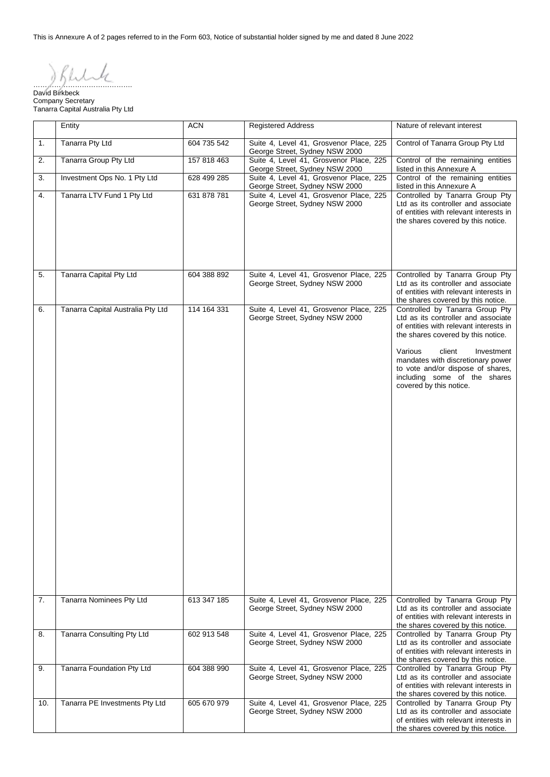This is Annexure A of 2 pages referred to in the Form 603, Notice of substantial holder signed by me and dated 8 June 2022

…………………………………….

David Birkbeck Company Secretary Tanarra Capital Australia Pty Ltd

|                                  | Entity                            | <b>ACN</b>  | <b>Registered Address</b>                                                 | Nature of relevant interest                                                                                                                                                                                                                                                                                                    |
|----------------------------------|-----------------------------------|-------------|---------------------------------------------------------------------------|--------------------------------------------------------------------------------------------------------------------------------------------------------------------------------------------------------------------------------------------------------------------------------------------------------------------------------|
| 1.                               | Tanarra Pty Ltd                   | 604 735 542 | Suite 4, Level 41, Grosvenor Place, 225<br>George Street, Sydney NSW 2000 | Control of Tanarra Group Pty Ltd                                                                                                                                                                                                                                                                                               |
| 2.                               | Tanarra Group Pty Ltd             | 157 818 463 | Suite 4, Level 41, Grosvenor Place, 225<br>George Street, Sydney NSW 2000 | Control of the remaining entities<br>listed in this Annexure A                                                                                                                                                                                                                                                                 |
| 3.                               | Investment Ops No. 1 Pty Ltd      | 628 499 285 | Suite 4, Level 41, Grosvenor Place, 225<br>George Street, Sydney NSW 2000 | Control of the remaining entities<br>listed in this Annexure A                                                                                                                                                                                                                                                                 |
| Tanarra LTV Fund 1 Pty Ltd<br>4. |                                   | 631 878 781 | Suite 4, Level 41, Grosvenor Place, 225<br>George Street, Sydney NSW 2000 | Controlled by Tanarra Group Pty<br>Ltd as its controller and associate<br>of entities with relevant interests in<br>the shares covered by this notice.                                                                                                                                                                         |
| 5.                               | Tanarra Capital Pty Ltd           | 604 388 892 | Suite 4, Level 41, Grosvenor Place, 225<br>George Street, Sydney NSW 2000 | Controlled by Tanarra Group Pty<br>Ltd as its controller and associate<br>of entities with relevant interests in<br>the shares covered by this notice.                                                                                                                                                                         |
| 6.                               | Tanarra Capital Australia Pty Ltd | 114 164 331 | Suite 4, Level 41, Grosvenor Place, 225<br>George Street, Sydney NSW 2000 | Controlled by Tanarra Group Pty<br>Ltd as its controller and associate<br>of entities with relevant interests in<br>the shares covered by this notice.<br>Various<br>client<br>Investment<br>mandates with discretionary power<br>to vote and/or dispose of shares,<br>including some of the shares<br>covered by this notice. |
| 7.                               | Tanarra Nominees Pty Ltd          | 613 347 185 | Suite 4, Level 41, Grosvenor Place, 225<br>George Street, Sydney NSW 2000 | Controlled by Tanarra Group Pty<br>Ltd as its controller and associate<br>of entities with relevant interests in<br>the shares covered by this notice.                                                                                                                                                                         |
| 8.                               | Tanarra Consulting Pty Ltd        | 602 913 548 | Suite 4, Level 41, Grosvenor Place, 225<br>George Street, Sydney NSW 2000 | Controlled by Tanarra Group Pty<br>Ltd as its controller and associate<br>of entities with relevant interests in<br>the shares covered by this notice.                                                                                                                                                                         |
| 9.                               | Tanarra Foundation Pty Ltd        | 604 388 990 | Suite 4, Level 41, Grosvenor Place, 225<br>George Street, Sydney NSW 2000 | Controlled by Tanarra Group Pty<br>Ltd as its controller and associate<br>of entities with relevant interests in<br>the shares covered by this notice.                                                                                                                                                                         |
| 10.                              | Tanarra PE Investments Pty Ltd    | 605 670 979 | Suite 4, Level 41, Grosvenor Place, 225<br>George Street, Sydney NSW 2000 | Controlled by Tanarra Group Pty<br>Ltd as its controller and associate<br>of entities with relevant interests in<br>the shares covered by this notice.                                                                                                                                                                         |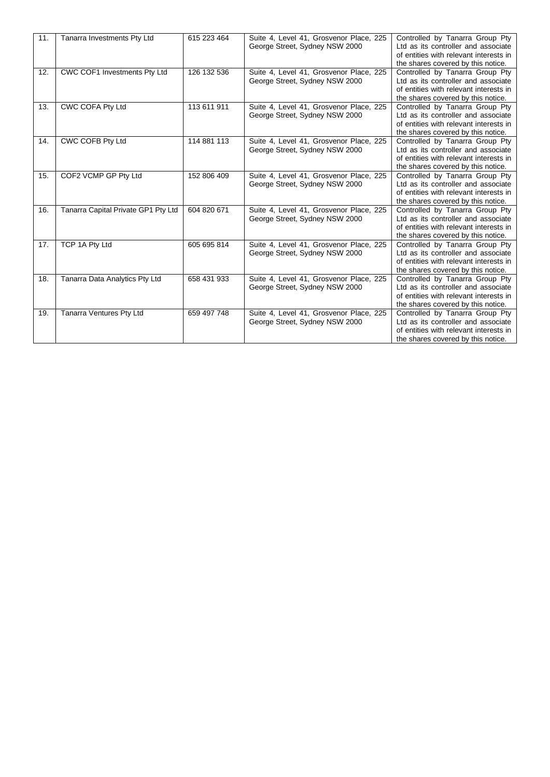| 11. | Tanarra Investments Pty Ltd         | 615 223 464 | Suite 4, Level 41, Grosvenor Place, 225<br>George Street, Sydney NSW 2000 | Controlled by Tanarra Group Pty<br>Ltd as its controller and associate<br>of entities with relevant interests in<br>the shares covered by this notice. |
|-----|-------------------------------------|-------------|---------------------------------------------------------------------------|--------------------------------------------------------------------------------------------------------------------------------------------------------|
| 12. | CWC COF1 Investments Pty Ltd        | 126 132 536 | Suite 4, Level 41, Grosvenor Place, 225<br>George Street, Sydney NSW 2000 | Controlled by Tanarra Group Pty<br>Ltd as its controller and associate<br>of entities with relevant interests in<br>the shares covered by this notice. |
| 13. | CWC COFA Pty Ltd                    | 113 611 911 | Suite 4, Level 41, Grosvenor Place, 225<br>George Street, Sydney NSW 2000 | Controlled by Tanarra Group Pty<br>Ltd as its controller and associate<br>of entities with relevant interests in<br>the shares covered by this notice. |
| 14. | CWC COFB Pty Ltd                    | 114 881 113 | Suite 4, Level 41, Grosvenor Place, 225<br>George Street, Sydney NSW 2000 | Controlled by Tanarra Group Pty<br>Ltd as its controller and associate<br>of entities with relevant interests in<br>the shares covered by this notice. |
| 15. | COF2 VCMP GP Pty Ltd                | 152 806 409 | Suite 4, Level 41, Grosvenor Place, 225<br>George Street, Sydney NSW 2000 | Controlled by Tanarra Group Pty<br>Ltd as its controller and associate<br>of entities with relevant interests in<br>the shares covered by this notice. |
| 16. | Tanarra Capital Private GP1 Pty Ltd | 604 820 671 | Suite 4, Level 41, Grosvenor Place, 225<br>George Street, Sydney NSW 2000 | Controlled by Tanarra Group Pty<br>Ltd as its controller and associate<br>of entities with relevant interests in<br>the shares covered by this notice. |
| 17. | TCP 1A Pty Ltd                      | 605 695 814 | Suite 4, Level 41, Grosvenor Place, 225<br>George Street, Sydney NSW 2000 | Controlled by Tanarra Group Pty<br>Ltd as its controller and associate<br>of entities with relevant interests in<br>the shares covered by this notice. |
| 18. | Tanarra Data Analytics Pty Ltd      | 658 431 933 | Suite 4, Level 41, Grosvenor Place, 225<br>George Street, Sydney NSW 2000 | Controlled by Tanarra Group Pty<br>Ltd as its controller and associate<br>of entities with relevant interests in<br>the shares covered by this notice. |
| 19. | Tanarra Ventures Pty Ltd            | 659 497 748 | Suite 4, Level 41, Grosvenor Place, 225<br>George Street, Sydney NSW 2000 | Controlled by Tanarra Group Pty<br>Ltd as its controller and associate<br>of entities with relevant interests in<br>the shares covered by this notice. |